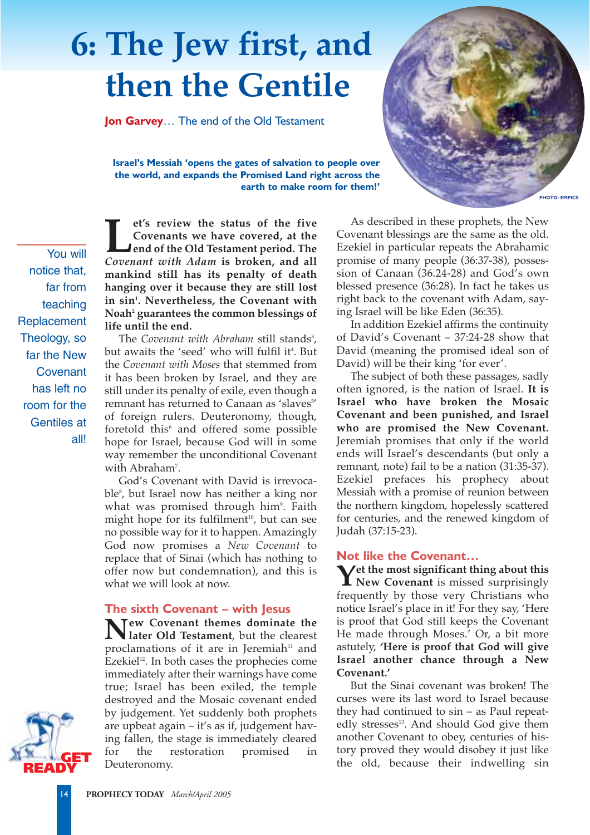## **6: The Jew first, and then the Gentile**

**Jon Garvey**… The end of the Old Testament

**Israel's Messiah 'opens the gates of salvation to people over the world, and expands the Promised Land right across the earth to make room for them!'**

You will notice that, far from teaching **Replacement** Theology, so far the New **Covenant** has left no room for the Gentiles at all!

**Let's review the status of the five**<br>Covenants we have covered, at the<br>Lend of the Old Testament period. The<br>Covenant with Adam is broken, and all **Covenants we have covered, at the end of the Old Testament period. The** *Covenant with Adam* **is broken, and all mankind still has its penalty of death hanging over it because they are still lost in sin1 . Nevertheless, the Covenant with Noah2 guarantees the common blessings of life until the end.**

The *Covenant with Abraham* still stands<sup>3</sup>, but awaits the 'seed' who will fulfil it<del>'</del>. But the *Covenant with Moses* that stemmed from it has been broken by Israel, and they are still under its penalty of exile, even though a remnant has returned to Canaan as 'slaves<sup>5</sup>' of foreign rulers. Deuteronomy, though, foretold this<sup>6</sup> and offered some possible hope for Israel, because God will in some way remember the unconditional Covenant with Abraham<sup>7</sup>.

God's Covenant with David is irrevocable8 , but Israel now has neither a king nor what was promised through him°. Faith might hope for its fulfilment<sup>10</sup>, but can see no possible way for it to happen. Amazingly God now promises a *New Covenant* to replace that of Sinai (which has nothing to offer now but condemnation), and this is what we will look at now.

## **The sixth Covenant – with Jesus**

**New Covenant themes dominate the later Old Testament**, but the clearest proclamations of it are in Jeremiah $11$  and Ezekiel $12$ . In both cases the prophecies come immediately after their warnings have come true; Israel has been exiled, the temple destroyed and the Mosaic covenant ended by judgement. Yet suddenly both prophets are upbeat again – it's as if, judgement having fallen, the stage is immediately cleared for the restoration promised in Deuteronomy.



As described in these prophets, the New Covenant blessings are the same as the old. Ezekiel in particular repeats the Abrahamic promise of many people (36:37-38), possession of Canaan (36.24-28) and God's own blessed presence (36:28). In fact he takes us right back to the covenant with Adam, saying Israel will be like Eden (36:35).

In addition Ezekiel affirms the continuity of David's Covenant – 37:24-28 show that David (meaning the promised ideal son of David) will be their king 'for ever'.

The subject of both these passages, sadly often ignored, is the nation of Israel. **It is Israel who have broken the Mosaic Covenant and been punished, and Israel who are promised the New Covenant.** Jeremiah promises that only if the world ends will Israel's descendants (but only a remnant, note) fail to be a nation (31:35-37). Ezekiel prefaces his prophecy about Messiah with a promise of reunion between the northern kingdom, hopelessly scattered for centuries, and the renewed kingdom of Judah (37:15-23).

## **Not like the Covenant…**

**Yet the most significant thing about this New Covenant** is missed surprisingly frequently by those very Christians who notice Israel's place in it! For they say, 'Here is proof that God still keeps the Covenant He made through Moses.' Or, a bit more astutely, **'Here is proof that God will give Israel another chance through a New Covenant.'**

But the Sinai covenant was broken! The curses were its last word to Israel because they had continued to sin – as Paul repeatedly stresses<sup>13</sup>. And should God give them another Covenant to obey, centuries of history proved they would disobey it just like the old, because their indwelling sin